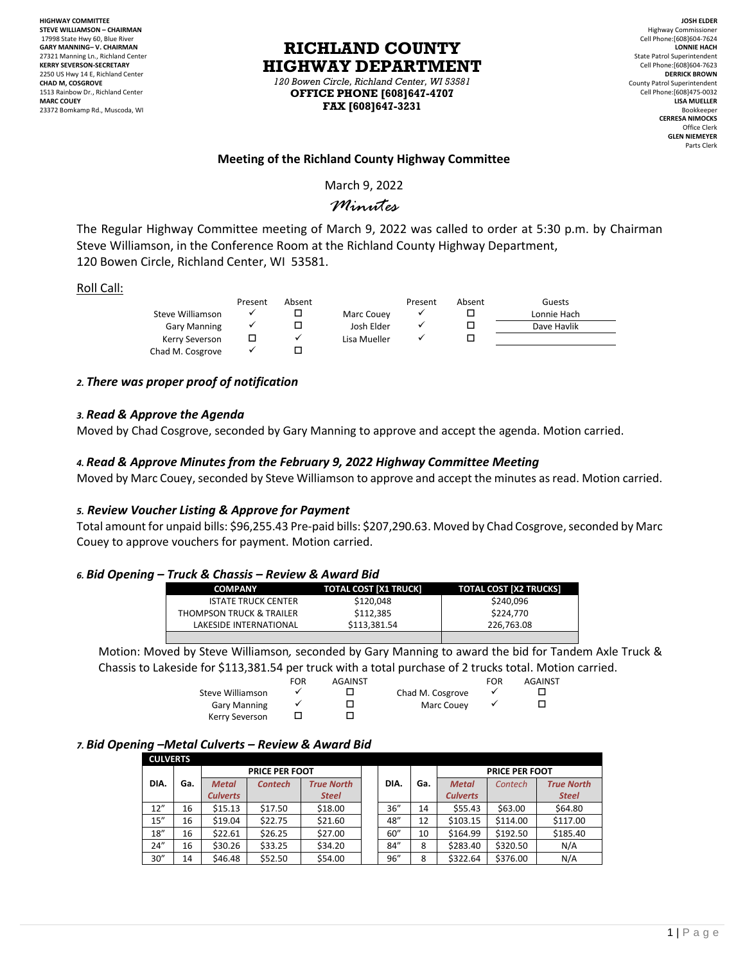**HIGHWAY COMMITTEE STEVE WILLIAMSON – CHAIRMAN** 17998 State Hwy 60, Blue River **GARY MANNING– V. CHAIRMAN** 27321 Manning Ln., Richland Center **KERRY SEVERSON-SECRETARY** 2250 US Hwy 14 E, Richland Center **CHAD M, COSGROVE** 1513 Rainbow Dr., Richland Center **MARC COUEY** 23372 Bomkamp Rd., Muscoda, WI

# **RICHLAND COUNTY HIGHWAY DEPARTMENT**

*120 Bowen Circle, Richland Center, WI 53581* **OFFICE PHONE [608]647-4707 FAX [608]647-3231**

**JOSH ELDER** Highway Commissioner Cell Phone:[608]604-7624 **LONNIE HACH** State Patrol Superintendent Cell Phone:[608]604-7623 **DERRICK BROWN** County Patrol Superintendent Cell Phone:[608]475-0032 **LISA MUELLER** Bookkeeper **CERRESA NIMOCKS** Office Clerk **GLEN NIEMEYER** Parts Clerk

# **Meeting of the Richland County Highway Committee**

March 9, 2022

# *Minutes*

The Regular Highway Committee meeting of March 9, 2022 was called to order at 5:30 p.m. by Chairman Steve Williamson, in the Conference Room at the Richland County Highway Department, 120 Bowen Circle, Richland Center, WI 53581.

#### Roll Call:

|                     | Present | Absent |              | Present | Absent | Guests      |
|---------------------|---------|--------|--------------|---------|--------|-------------|
| Steve Williamson    |         |        | Marc Couey   |         |        | Lonnie Hach |
| <b>Gary Manning</b> |         |        | Josh Elder   |         |        | Dave Havlik |
| Kerry Severson      |         |        | Lisa Mueller |         |        |             |
| Chad M. Cosgrove    |         |        |              |         |        |             |

# *2. There was proper proof of notification*

#### *3. Read & Approve the Agenda*

Moved by Chad Cosgrove, seconded by Gary Manning to approve and accept the agenda. Motion carried.

# *4. Read & Approve Minutes from the February 9, 2022 Highway Committee Meeting*

Moved by Marc Couey, seconded by Steve Williamson to approve and accept the minutes as read. Motion carried.

#### *5. Review Voucher Listing & Approve for Payment*

Total amount for unpaid bills: \$96,255.43 Pre-paid bills: \$207,290.63. Moved by Chad Cosgrove, seconded by Marc Couey to approve vouchers for payment. Motion carried.

#### *6. Bid Opening – Truck & Chassis – Review & Award Bid*

| <b>COMPANY</b>                      | TOTAL COST [X1 TRUCK] | <b>TOTAL COST [X2 TRUCKS]</b> |  |  |  |  |  |  |
|-------------------------------------|-----------------------|-------------------------------|--|--|--|--|--|--|
| <b>ISTATE TRUCK CENTER</b>          | \$120.048             | \$240,096                     |  |  |  |  |  |  |
| <b>THOMPSON TRUCK &amp; TRAILER</b> | \$112.385             | \$224.770                     |  |  |  |  |  |  |
| LAKESIDE INTERNATIONAL              | \$113.381.54          | 226.763.08                    |  |  |  |  |  |  |
|                                     |                       |                               |  |  |  |  |  |  |

Motion: Moved by Steve Williamson*,* seconded by Gary Manning to award the bid for Tandem Axle Truck & Chassis to Lakeside for \$113,381.54 per truck with a total purchase of 2 trucks total. Motion carried.

|                     | FOR | <b>AGAINST</b> |                  | FOR | <b>AGAINST</b> |
|---------------------|-----|----------------|------------------|-----|----------------|
| Steve Williamson    |     |                | Chad M. Cosgrove |     |                |
| <b>Gary Manning</b> |     |                | Marc Couev       |     |                |
| Kerry Severson      |     |                |                  |     |                |

#### *7. Bid Opening –Metal Culverts – Review & Award Bid*

#### **CULVERTS**

| <b>CULVERIS</b> |      |     |                 |                       |                   |  |      |     |                 |                       |                   |
|-----------------|------|-----|-----------------|-----------------------|-------------------|--|------|-----|-----------------|-----------------------|-------------------|
|                 |      |     |                 | <b>PRICE PER FOOT</b> |                   |  |      |     |                 | <b>PRICE PER FOOT</b> |                   |
|                 | DIA. | Ga. | <b>Metal</b>    | <b>Contech</b>        | <b>True North</b> |  | DIA. | Ga. | <b>Metal</b>    | Contech               | <b>True North</b> |
|                 |      |     | <b>Culverts</b> |                       | <b>Steel</b>      |  |      |     | <b>Culverts</b> |                       | <b>Steel</b>      |
|                 | 12'' | 16  | \$15.13         | \$17.50               | \$18.00           |  | 36'' | 14  | \$55.43         | \$63.00               | \$64.80           |
|                 | 15'' | 16  | \$19.04         | \$22.75               | \$21.60           |  | 48"  | 12  | \$103.15        | \$114.00              | \$117.00          |
|                 | 18'' | 16  | \$22.61         | \$26.25               | \$27.00           |  | 60'' | 10  | \$164.99        | \$192.50              | \$185.40          |
|                 | 24'' | 16  | \$30.26         | \$33.25               | \$34.20           |  | 84'' | 8   | \$283.40        | \$320.50              | N/A               |
|                 | 30'' | 14  | \$46.48         | \$52.50               | \$54.00           |  | 96'' | 8   | \$322.64        | \$376.00              | N/A               |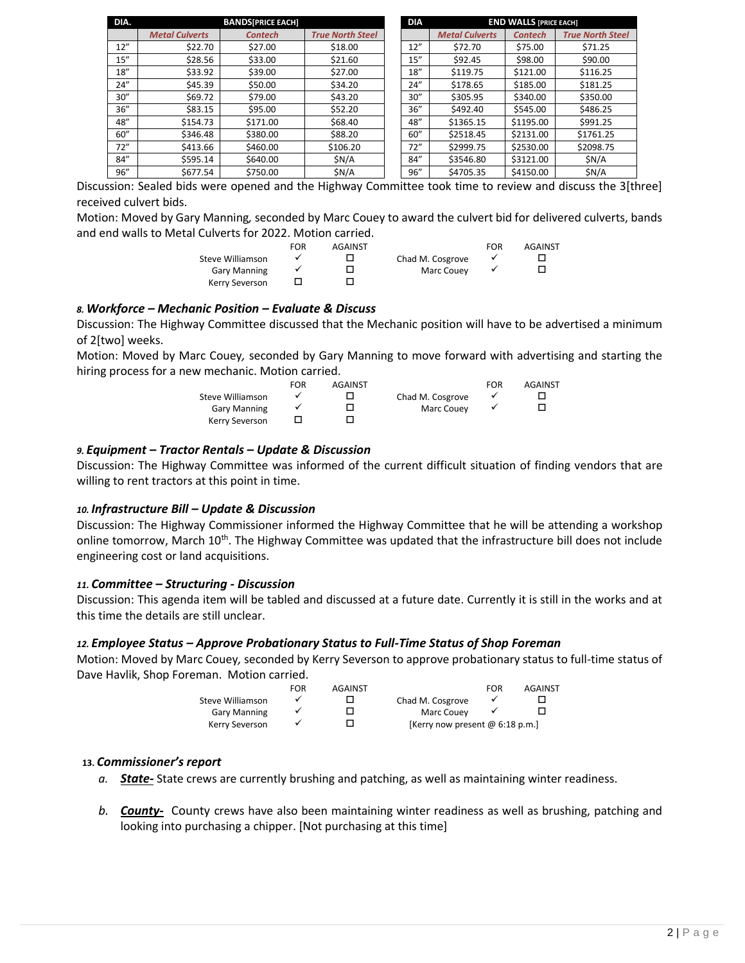| DIA. |                       | <b>BANDSIPRICE EACHI</b> |                         | <b>DIA</b> |                       | <b>END WALLS IPRICE EACHI</b> |                         |
|------|-----------------------|--------------------------|-------------------------|------------|-----------------------|-------------------------------|-------------------------|
|      | <b>Metal Culverts</b> | <b>Contech</b>           | <b>True North Steel</b> |            | <b>Metal Culverts</b> | <b>Contech</b>                | <b>True North Steel</b> |
| 12"  | \$22.70               | \$27.00                  | \$18.00                 | 12"        | \$72.70               | \$75.00                       | \$71.25                 |
| 15'' | \$28.56               | \$33.00                  | \$21.60                 | 15''       | \$92.45               | \$98.00                       | \$90.00                 |
| 18'' | \$33.92               | \$39.00                  | \$27.00                 | 18''       | \$119.75              | \$121.00                      | \$116.25                |
| 24'' | \$45.39               | \$50.00                  | \$34.20                 | 24''       | \$178.65              | \$185.00                      | \$181.25                |
| 30'' | \$69.72               | \$79.00                  | \$43.20                 | 30''       | \$305.95              | \$340.00                      | \$350.00                |
| 36'' | \$83.15               | \$95.00                  | \$52.20                 | 36''       | \$492.40              | \$545.00                      | \$486.25                |
| 48"  | \$154.73              | \$171.00                 | \$68.40                 | 48"        | \$1365.15             | \$1195.00                     | \$991.25                |
| 60'' | \$346.48              | \$380.00                 | \$88.20                 | 60''       | \$2518.45             | \$2131.00                     | \$1761.25               |
| 72"  | \$413.66              | \$460.00                 | \$106.20                | 72"        | \$2999.75             | \$2530.00                     | \$2098.75               |
| 84'' | \$595.14              | \$640.00                 | \$N/A                   | 84''       | \$3546.80             | \$3121.00                     | \$N/A                   |
| 96'' | \$677.54              | \$750.00                 | \$N/A                   | 96''       | \$4705.35             | \$4150.00                     | \$N/A                   |

Discussion: Sealed bids were opened and the Highway Committee took time to review and discuss the 3[three] received culvert bids.

Motion: Moved by Gary Manning*,* seconded by Marc Couey to award the culvert bid for delivered culverts, bands and end walls to Metal Culverts for 2022. Motion carried.

|                     | FOR | <b>AGAINST</b> |                  | FOR | <b>AGAINST</b> |
|---------------------|-----|----------------|------------------|-----|----------------|
| Steve Williamson    |     |                | Chad M. Cosgrove |     |                |
| <b>Gary Manning</b> |     |                | Marc Couev       |     |                |
| Kerry Severson      |     |                |                  |     |                |

# *8. Workforce – Mechanic Position – Evaluate & Discuss*

Discussion: The Highway Committee discussed that the Mechanic position will have to be advertised a minimum of 2[two] weeks.

Motion: Moved by Marc Couey*,* seconded by Gary Manning to move forward with advertising and starting the hiring process for a new mechanic. Motion carried.

|                     | FOR | <b>AGAINST</b> |                  | FOR | <b>AGAINST</b> |
|---------------------|-----|----------------|------------------|-----|----------------|
| Steve Williamson    |     |                | Chad M. Cosgrove |     |                |
| <b>Gary Manning</b> |     |                | Marc Couev       |     |                |
| Kerry Severson      |     |                |                  |     |                |

# *9. Equipment – Tractor Rentals – Update & Discussion*

Discussion: The Highway Committee was informed of the current difficult situation of finding vendors that are willing to rent tractors at this point in time.

#### *10. Infrastructure Bill – Update & Discussion*

Discussion: The Highway Commissioner informed the Highway Committee that he will be attending a workshop online tomorrow, March 10<sup>th</sup>. The Highway Committee was updated that the infrastructure bill does not include engineering cost or land acquisitions.

#### *11. Committee – Structuring - Discussion*

Discussion: This agenda item will be tabled and discussed at a future date. Currently it is still in the works and at this time the details are still unclear.

#### *12. Employee Status – Approve Probationary Status to Full-Time Status of Shop Foreman*

Motion: Moved by Marc Couey*,* seconded by Kerry Severson to approve probationary status to full-time status of Dave Havlik, Shop Foreman. Motion carried.

|                     | FOR | <b>AGAINST</b> |                                  | <b>FOR</b> | AGAINST |
|---------------------|-----|----------------|----------------------------------|------------|---------|
| Steve Williamson    |     |                | Chad M. Cosgrove                 |            |         |
| <b>Gary Manning</b> |     |                | Marc Couev                       |            |         |
| Kerry Severson      |     |                | [Kerry now present $@6:18$ p.m.] |            |         |

#### **13.** *Commissioner's report*

- *a. State-* State crews are currently brushing and patching, as well as maintaining winter readiness.
- *b. County-* County crews have also been maintaining winter readiness as well as brushing, patching and looking into purchasing a chipper. [Not purchasing at this time]